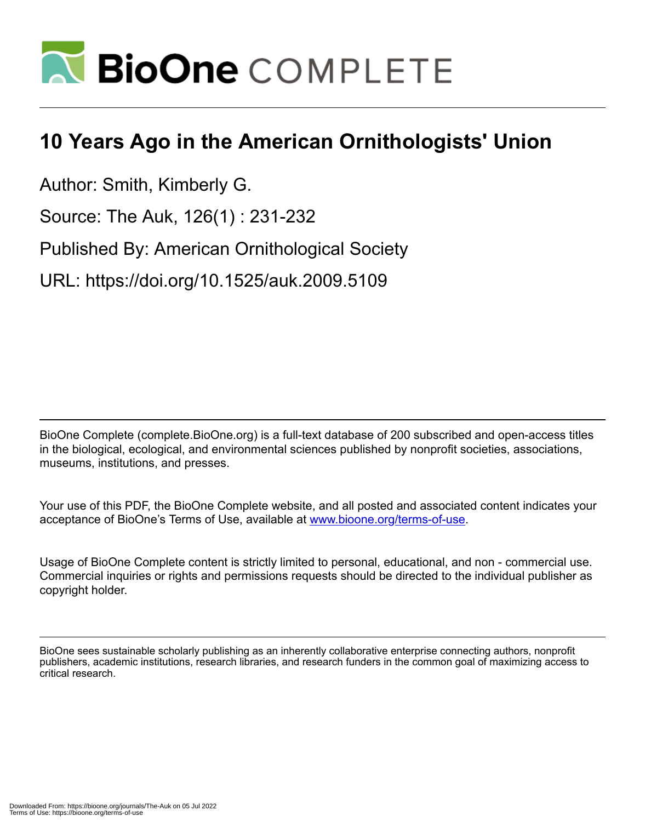

## **10 Years Ago in the American Ornithologists' Union**

Author: Smith, Kimberly G.

Source: The Auk, 126(1) : 231-232

Published By: American Ornithological Society

URL: https://doi.org/10.1525/auk.2009.5109

BioOne Complete (complete.BioOne.org) is a full-text database of 200 subscribed and open-access titles in the biological, ecological, and environmental sciences published by nonprofit societies, associations, museums, institutions, and presses.

Your use of this PDF, the BioOne Complete website, and all posted and associated content indicates your acceptance of BioOne's Terms of Use, available at www.bioone.org/terms-of-use.

Usage of BioOne Complete content is strictly limited to personal, educational, and non - commercial use. Commercial inquiries or rights and permissions requests should be directed to the individual publisher as copyright holder.

BioOne sees sustainable scholarly publishing as an inherently collaborative enterprise connecting authors, nonprofit publishers, academic institutions, research libraries, and research funders in the common goal of maximizing access to critical research.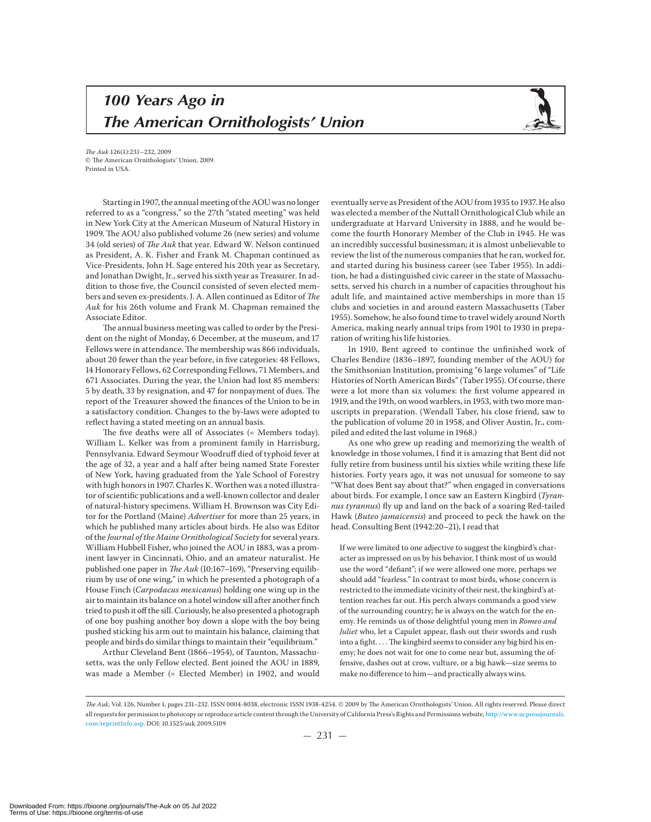## *100 Years Ago in The American Ornithologists' Union*



The Auk 126(1):231–232, 2009  $©$  The American Ornithologists' Union, 2009. Printed in USA.

Starting in 1907, the annual meeting of the AOU was no longer referred to as a "congress," so the 27th "stated meeting" was held in New York City at the American Museum of Natural History in 1909. The AOU also published volume 26 (new series) and volume 34 (old series) of The Auk that year. Edward W. Nelson continued as President, A. K. Fisher and Frank M. Chapman continued as Vice-Presidents, John H. Sage entered his 20th year as Secretary, and Jonathan Dwight, Jr., served his sixth year as Treasurer. In addition to those five, the Council consisted of seven elected members and seven ex-presidents. J. A. Allen continued as Editor of The Auk for his 26th volume and Frank M. Chapman remained the Associate Editor.

The annual business meeting was called to order by the President on the night of Monday, 6 December, at the museum, and 17 Fellows were in attendance. The membership was 866 individuals, about 20 fewer than the year before, in five categories: 48 Fellows, 14 Honorary Fellows, 62 Corresponding Fellows, 71 Members, and 671 Associates. During the year, the Union had lost 85 members: 5 by death, 33 by resignation, and 47 for nonpayment of dues. The report of the Treasurer showed the finances of the Union to be in a satisfactory condition. Changes to the by-laws were adopted to reflect having a stated meeting on an annual basis.

The five deaths were all of Associates (= Members today). William L. Kelker was from a prominent family in Harrisburg, Pennsylvania. Edward Seymour Woodruff died of typhoid fever at the age of 32, a year and a half after being named State Forester of New York, having graduated from the Yale School of Forestry with high honors in 1907. Charles K. Worthen was a noted illustrator of scientific publications and a well-known collector and dealer of natural-history specimens. William H. Brownson was City Editor for the Portland (Maine) Advertiser for more than 25 years, in which he published many articles about birds. He also was Editor of the Journal of the Maine Ornithological Society for several years. William Hubbell Fisher, who joined the AOU in 1883, was a prominent lawyer in Cincinnati, Ohio, and an amateur naturalist. He published one paper in The Auk (10:167-169), "Preserving equilibrium by use of one wing," in which he presented a photograph of a House Finch (Carpodacus mexicanus) holding one wing up in the air to maintain its balance on a hotel window sill after another finch tried to push it off the sill. Curiously, he also presented a photograph of one boy pushing another boy down a slope with the boy being pushed sticking his arm out to maintain his balance, claiming that people and birds do similar things to maintain their "equilibrium."

Arthur Cleveland Bent (1866-1954), of Taunton, Massachusetts, was the only Fellow elected. Bent joined the AOU in 1889, was made a Member (= Elected Member) in 1902, and would

eventually serve as President of the AOU from 1935 to 1937. He also was elected a member of the Nuttall Ornithological Club while an undergraduate at Harvard University in 1888, and he would become the fourth Honorary Member of the Club in 1945. He was an incredibly successful businessman; it is almost unbelievable to review the list of the numerous companies that he ran, worked for, and started during his business career (see Taber 1955). In addition, he had a distinguished civic career in the state of Massachusetts, served his church in a number of capacities throughout his adult life, and maintained active memberships in more than clubs and societies in and around eastern Massachusetts (Taber 1955). Somehow, he also found time to travel widely around North America, making nearly annual trips from 1901 to 1930 in preparation of writing his life histories.

In 1910, Bent agreed to continue the unfinished work of Charles Bendire (1836–1897, founding member of the AOU) for the Smithsonian Institution, promising "6 large volumes" of "Life Histories of North American Birds" (Taber 1955). Of course, there were a lot more than six volumes: the first volume appeared in 1919, and the 19th, on wood warblers, in 1953, with two more manuscripts in preparation. (Wendall Taber, his close friend, saw to the publication of volume 20 in 1958, and Oliver Austin, Jr., compiled and edited the last volume in 1968.)

As one who grew up reading and memorizing the wealth of knowledge in those volumes, I find it is amazing that Bent did not fully retire from business until his sixties while writing these life histories. Forty years ago, it was not unusual for someone to say "What does Bent say about that?" when engaged in conversations about birds. For example, I once saw an Eastern Kingbird (Tyrannus tyrannus) fly up and land on the back of a soaring Red-tailed Hawk (Buteo jamaicensis) and proceed to peck the hawk on the head. Consulting Bent (1942:20-21), I read that

If we were limited to one adjective to suggest the kingbird's character as impressed on us by his behavior, I think most of us would use the word "defiant"; if we were allowed one more, perhaps we should add "fearless." In contrast to most birds, whose concern is restricted to the immediate vicinity of their nest, the kingbird's attention reaches far out. His perch always commands a good view of the surrounding country; he is always on the watch for the enemy. He reminds us of those delightful young men in Romeo and Juliet who, let a Capulet appear, flash out their swords and rush into a fight. . . . The kingbird seems to consider any big bird his enemy; he does not wait for one to come near but, assuming the offensive, dashes out at crow, vulture, or a big hawk—size seems to make no difference to him—and practically always wins.

The Auk, Vol. 126, Number 1, pages 231-232. ISSN 0004-8038, electronic ISSN 1938-4254. © 2009 by The American Ornithologists' Union. All rights reserved. Please direct all requests for permission to photocopy or reproduce article content through the University of California Press's Rights and Permissions website, http://www.ucpressjournals. com/reprintInfo.asp. DOI: 10.1525/auk.2009.5109